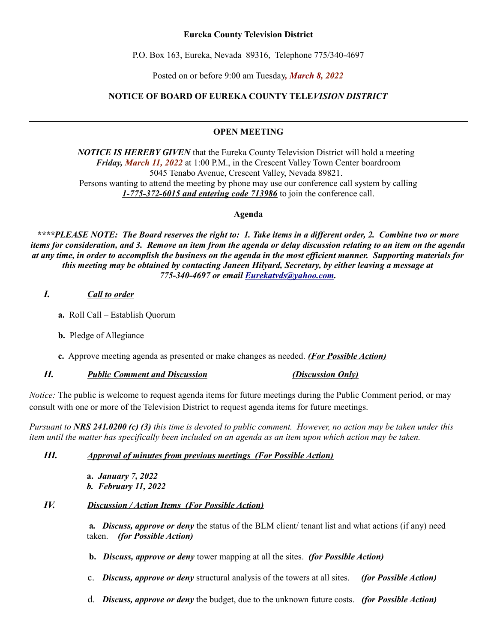#### **Eureka County Television District**

P.O. Box 163, Eureka, Nevada 89316, Telephone 775/340-4697

Posted on or before 9:00 am Tuesday*, March 8, 2022*

# **NOTICE OF BOARD OF EUREKA COUNTY TELE***VISION DISTRICT*

# **OPEN MEETING**

*NOTICE IS HEREBY GIVEN* that the Eureka County Television District will hold a meeting *Friday, March 11, 2022* at 1:00 P.M., in the Crescent Valley Town Center boardroom 5045 Tenabo Avenue, Crescent Valley, Nevada 89821. Persons wanting to attend the meeting by phone may use our conference call system by calling *1-775-372-6015 and entering code 713986* to join the conference call.

**Agenda**

*\*\*\*\*PLEASE NOTE: The Board reserves the right to: 1. Take items in a different order, 2. Combine two or more items for consideration, and 3. Remove an item from the agenda or delay discussion relating to an item on the agenda at any time, in order to accomplish the business on the agenda in the most efficient manner. Supporting materials for this meeting may be obtained by contacting Janeen Hilyard, Secretary, by either leaving a message at 775-340-4697 or email [Eurekatvds@yahoo.com.](mailto:Eurekatvds@yahoo.com)*

# *I. Call to order*

- **a.** Roll Call Establish Quorum
- **b.** Pledge of Allegiance
- **c.** Approve meeting agenda as presented or make changes as needed. *(For Possible Action)*

# *II. Public Comment and Discussion (Discussion Only)*

*Notice:* The public is welcome to request agenda items for future meetings during the Public Comment period, or may consult with one or more of the Television District to request agenda items for future meetings.

*Pursuant to NRS 241.0200 (c) (3) this time is devoted to public comment. However, no action may be taken under this item until the matter has specifically been included on an agenda as an item upon which action may be taken.* 

# *III. Approval of minutes from previous meetings (For Possible Action)*

**a.** *January 7, 2022 b. February 11, 2022*

# *IV. Discussion / Action Items (For Possible Action)*

 **a***. Discuss, approve or deny* the status of the BLM client/ tenant list and what actions (if any) need taken. *(for Possible Action)*

**b.** *Discuss, approve or deny* tower mapping at all the sites. *(for Possible Action)*

- c. *Discuss, approve or deny* structural analysis of the towers at all sites. *(for Possible Action)*
- d. *Discuss, approve or deny* the budget, due to the unknown future costs. *(for Possible Action)*